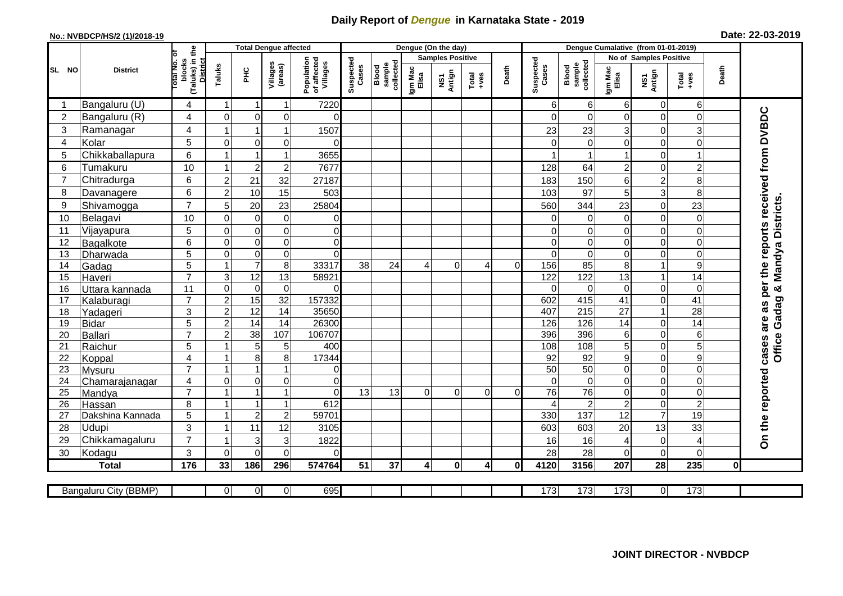## **Daily Report of** *Dengue* **in Karnataka State - 2019**

## **No.: NVBDCP/HS/2 (1)/2018-19 Date: 22-03-2019**

|                |                                  |                                                              |                  |                         | <b>Total Dengue affected</b> |                                       |                    |                              |                                                   | Dengue (On the day) |                                                              |          |                    |                              |                  |                               |                                   |              |                                            |
|----------------|----------------------------------|--------------------------------------------------------------|------------------|-------------------------|------------------------------|---------------------------------------|--------------------|------------------------------|---------------------------------------------------|---------------------|--------------------------------------------------------------|----------|--------------------|------------------------------|------------------|-------------------------------|-----------------------------------|--------------|--------------------------------------------|
|                |                                  |                                                              |                  |                         |                              |                                       |                    |                              | No of Samples Positive<br><b>Samples Positive</b> |                     |                                                              |          |                    |                              |                  |                               |                                   |              |                                            |
| SL NO          | <b>District</b>                  | (Taluks) in the<br>Total No. of<br>blocks<br><b>District</b> | Taluks           | ΞÉ                      | Villages<br>(areas)          | Population<br>of affected<br>Villages | Suspected<br>Cases | sample<br>collected<br>Blood | Igm Mac<br>Elisa                                  | NS1<br>Antign       | $\begin{array}{c}\n\text{Total} \\ \text{Area}\n\end{array}$ | Death    | Suspected<br>Cases | collected<br>sample<br>Blood | Igm Mac<br>Elisa | NS1<br>Antign                 | $Tota$<br>$+ves$                  | Death        |                                            |
|                | Bangaluru (U)                    | 4                                                            | $\mathbf 1$      | $\overline{\mathbf{1}}$ | 1                            | 7220                                  |                    |                              |                                                   |                     |                                                              |          | 61                 | 6                            | 6                | $\pmb{0}$                     | $\,6$                             |              |                                            |
| $\overline{2}$ | Bangaluru (R)                    | 4                                                            | $\Omega$         | $\mathbf{0}$            | 0                            | $\Omega$                              |                    |                              |                                                   |                     |                                                              |          | $\Omega$           | $\Omega$                     | 0                | $\Omega$                      | $\mathbf 0$                       |              | as per the reports received from DVBDC     |
| 3              | Ramanagar                        | 4                                                            |                  | -1                      | 1                            | 1507                                  |                    |                              |                                                   |                     |                                                              |          | 23                 | 23                           | 3                | 0                             | $\mathbf{3}$                      |              |                                            |
| 4              | Kolar                            | 5                                                            | $\Omega$         | $\mathbf 0$             | 0                            | $\Omega$                              |                    |                              |                                                   |                     |                                                              |          |                    | $\mathbf 0$                  | 0                | $\mathbf 0$                   | $\mathbf 0$                       |              |                                            |
| 5              | Chikkaballapura                  | $6\phantom{1}$                                               |                  | 1                       | 1                            | 3655                                  |                    |                              |                                                   |                     |                                                              |          |                    |                              | 1                | $\mathbf 0$                   | $\mathbf{1}$                      |              |                                            |
| 6              | Tumakuru                         | 10                                                           |                  | $\overline{2}$          | $\overline{c}$               | 7677                                  |                    |                              |                                                   |                     |                                                              |          | 128                | 64                           | $\overline{c}$   | $\mathbf 0$                   | $\overline{c}$                    |              |                                            |
| $\overline{7}$ | Chitradurga                      | 6                                                            | $\overline{2}$   | 21                      | 32                           | 27187                                 |                    |                              |                                                   |                     |                                                              |          | 183                | 150                          | 6                | $\overline{\mathbf{c}}$       | 8                                 |              |                                            |
| 8              | Davanagere                       | 6                                                            | $\overline{2}$   | 10                      | 15                           | 503                                   |                    |                              |                                                   |                     |                                                              |          | 103                | 97                           | 5                | 3                             | 8                                 |              |                                            |
| 9              | Shivamogga                       | $\overline{7}$                                               | 5                | 20                      | 23                           | 25804                                 |                    |                              |                                                   |                     |                                                              |          | 560                | 344                          | 23               | $\mathbf 0$                   | 23                                |              | <b>Office Gadag &amp; Mandya Districts</b> |
| 10             | Belagavi                         | 10                                                           | $\Omega$         | $\mathbf 0$             | $\pmb{0}$                    | 0                                     |                    |                              |                                                   |                     |                                                              |          |                    | 0                            | 0                | $\overline{0}$                | $\overline{0}$                    |              |                                            |
| 11             | Vijayapura                       | 5                                                            | $\Omega$         | $\mathbf 0$             | $\mathbf 0$                  | $\overline{0}$                        |                    |                              |                                                   |                     |                                                              |          |                    | $\Omega$                     | 0                | $\mathbf 0$                   | $\mathbf 0$                       |              |                                            |
| 12             | Bagalkote                        | 6                                                            | $\mathbf 0$      | $\mathbf 0$             | $\boldsymbol{0}$             | $\overline{0}$                        |                    |                              |                                                   |                     |                                                              |          | $\Omega$           | $\overline{0}$               | 0                | $\mathbf 0$                   | $\overline{0}$                    |              |                                            |
| 13             | Dharwada                         | 5                                                            | $\Omega$         | $\overline{0}$          | $\overline{0}$               | $\Omega$                              |                    |                              |                                                   |                     |                                                              |          | $\Omega$           | $\Omega$                     | 0                | $\overline{\mathsf{o}}$       | $\overline{0}$                    |              |                                            |
| 14             | Gadag                            | $\overline{5}$                                               |                  | $\overline{7}$          | 8                            | 33317                                 | 38                 | 24                           | 4                                                 | $\Omega$            | 4                                                            | $\Omega$ | 156                | 85                           | 8                | $\mathbf{1}$                  | $\overline{9}$                    |              |                                            |
| 15             | Haveri                           | $\overline{7}$                                               | $\mathbf{3}$     | $\overline{12}$         | 13                           | 58921                                 |                    |                              |                                                   |                     |                                                              |          | 122                | 122                          | 13               | $\mathbf{1}$                  | $\overline{14}$                   |              |                                            |
| 16             | Uttara kannada                   | 11                                                           | $\Omega$         | $\mathbf 0$             | $\mathbf 0$                  | $\Omega$                              |                    |                              |                                                   |                     |                                                              |          | $\Omega$           | $\Omega$                     | $\Omega$         | $\mathbf 0$                   | $\mathbf 0$                       |              |                                            |
| 17             | Kalaburagi                       | $\overline{7}$                                               | $\overline{2}$   | 15                      | $\overline{32}$              | 157332                                |                    |                              |                                                   |                     |                                                              |          | 602                | 415                          | 41               | $\boldsymbol{0}$              | $\overline{41}$                   |              |                                            |
| 18             | Yadageri                         | 3                                                            | $\overline{2}$   | $\overline{12}$         | 14                           | 35650                                 |                    |                              |                                                   |                     |                                                              |          | 407                | 215                          | 27               | $\mathbf{1}$                  | 28                                |              |                                            |
| 19             | Bidar                            | 5                                                            | $\boldsymbol{2}$ | 14                      | $\overline{14}$              | 26300                                 |                    |                              |                                                   |                     |                                                              |          | 126                | 126                          | 14               | $\pmb{0}$                     | $\overline{14}$                   |              | are                                        |
| 20             | Ballari                          | $\overline{7}$                                               | $\overline{2}$   | $\overline{38}$         | 107                          | 106707                                |                    |                              |                                                   |                     |                                                              |          | 396                | 396                          | 6                | $\mathbf 0$                   | 6                                 |              |                                            |
| 21             | Raichur                          | $\overline{5}$                                               |                  | 5                       | 5                            | 400                                   |                    |                              |                                                   |                     |                                                              |          | 108                | 108                          | $\overline{5}$   | $\overline{0}$                | $\overline{5}$                    |              | cases                                      |
| 22             | Koppal                           | $\overline{4}$                                               |                  | 8                       | 8                            | 17344                                 |                    |                              |                                                   |                     |                                                              |          | 92                 | 92                           | 9                | $\mathbf 0$                   | $\boldsymbol{9}$                  |              |                                            |
| 23             | Mysuru                           | $\overline{7}$                                               |                  | $\overline{1}$          | 1                            | 0                                     |                    |                              |                                                   |                     |                                                              |          | $\overline{50}$    | 50                           | 0                | $\overline{0}$                | $\overline{0}$                    |              |                                            |
| 24             | Chamarajanagar                   | 4                                                            | $\Omega$         | $\mathbf 0$             | 0                            | $\Omega$                              |                    |                              |                                                   |                     |                                                              |          | $\Omega$           | $\Omega$                     | 0                | $\mathbf 0$                   | $\mathbf 0$                       |              |                                            |
| 25             | Mandya                           | $\overline{7}$                                               |                  | -1                      | $\mathbf 1$                  | $\Omega$                              | $\overline{13}$    | 13                           | $\Omega$                                          | $\Omega$            | $\Omega$                                                     | $\Omega$ | $\overline{76}$    | $\overline{76}$              | 0                | $\mathbf 0$                   | $\overline{0}$                    |              |                                            |
| 26             | Hassan                           | 8                                                            |                  | $\overline{1}$          | 1                            | 612                                   |                    |                              |                                                   |                     |                                                              |          |                    | $\overline{2}$               | $\overline{c}$   | $\mathbf 0$<br>$\overline{7}$ | $\overline{2}$<br>$\overline{19}$ |              |                                            |
| 27<br>28       | Dakshina Kannada<br><b>Udupi</b> | 5<br>3                                                       |                  | $\overline{2}$          | $\overline{c}$               | 59701                                 |                    |                              |                                                   |                     |                                                              |          | 330<br>603         | 137<br>603                   | 12               |                               |                                   |              |                                            |
| 29             |                                  | $\overline{7}$                                               |                  | 11<br>3                 | 12<br>3                      | 3105<br>1822                          |                    |                              |                                                   |                     |                                                              |          | 16                 | 16                           | 20               | 13<br>$\pmb{0}$               | 33<br>$\overline{4}$              |              | On the reported                            |
| 30             | Chikkamagaluru<br>Kodagu         | 3                                                            | $\mathbf{0}$     | $\mathbf 0$             | $\mathbf 0$                  | $\Omega$                              |                    |                              |                                                   |                     |                                                              |          | 28                 | 28                           | 4<br>0           | $\mathbf 0$                   | $\mathbf 0$                       |              |                                            |
|                | <b>Total</b>                     | 176                                                          | 33               | 186                     | 296                          | 574764                                | 51                 | 37                           | $\overline{4}$                                    | $\mathbf{0}$        | $\overline{4}$                                               | 0l       | 4120               | 3156                         | 207              | 28                            | 235                               | $\mathbf{0}$ |                                            |
|                |                                  |                                                              |                  |                         |                              |                                       |                    |                              |                                                   |                     |                                                              |          |                    |                              |                  |                               |                                   |              |                                            |
|                | Bangaluru City (BBMP)            |                                                              | $\overline{0}$   | $\overline{0}$          | $\pmb{0}$                    | 695                                   |                    |                              |                                                   |                     |                                                              |          | 173                | 173                          | 173              | $\overline{0}$                | 173                               |              |                                            |